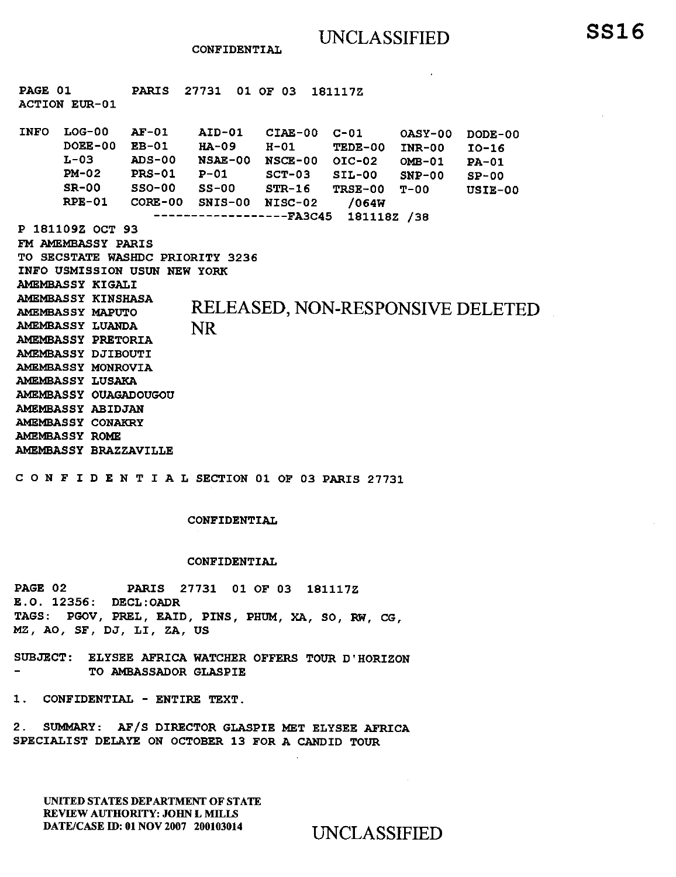**CONFIDENTIAL** 

**P 181109Z OCT 93 FM AMEMBASSY PARIS TO SECSTATE WASHDC PRIORITY 3236 INFO USMISSION USUN NEW YORK AMEMBASSY KIGALI AMEMBASSY KINSHASA AMEMBASSY MAPUTO AMEMBASSY LUANDA**  RELEASED, NON-RESPONSIVE DELETED NR **PAGE 01 PARIS 27731 01 OF 03 181117Z ACTION EUR -01 INFO LOG-00 DOEE-00 L-03 PM-02 SR-00 RPE-01 AF-01 AID-01 EB-01 HA-09 ADS-00 NSAE-00 NSCE-00 01C-02 OMB-01 PRS-01 P-01 SSO-00 SS-00 CORE-00 SNIS-00 NISC-02 /064W CIAE-00 C-01 OASY-00 H-01 TEDE-00 INR-00 SCT-03 SIL-00 SNP-00 STR-16 TRSE-00 T-00 FA3C45 181118Z /38 DODE-00 10-16 PA-01 SP-00 USIE-00 AMEMBASSY PRETORIA AMEMBASSY DJIBOUTI AMEMBASSY MONROVIA AMEMBASSY LUSAKA AMEMBASSY OUAGADOUGOU AMEMBASSY ABIDJAN AMEMBASSY CONAKRY AMEMBASSY ROME AMEMBASSY BRAZZAVILLE** 

**CONFIDENTIALSECTION 01 OF 03 PARIS 27731** 

#### **CONFIDENTIAL**

#### **CONFIDENTIAL**

**PAGE 02 PARIS 27731 01 OF 03 181117Z E.O. 12356: DECL:OADR TAGS: PGOV, PREL, EAID, PINS, PHUM, XA, SO, RW, CG, MZ, AO, SF, DJ, LI, ZA, US** 

**SUBJECT: ELYSEE AFRICA WATCHER OFFERS TOUR D'HORIZON TO AMBASSADOR GLASPIE** 

**1. CONFIDENTIAL - ENTIRE TEXT.** 

**2. SUMMARY: AF/S DIRECTOR GLASPIE MET ELYSEE AFRICA SPECIALIST DELAYE ON OCTOBER 13 FOR A CANDID TOUR** 

UNITED STATES DEPARTMENT OF STATE REVIEW AUTHORITY: JOHN L MILLS DATE/CASE ID: 01 NOV 2007 200103014 UNCLASSIFIED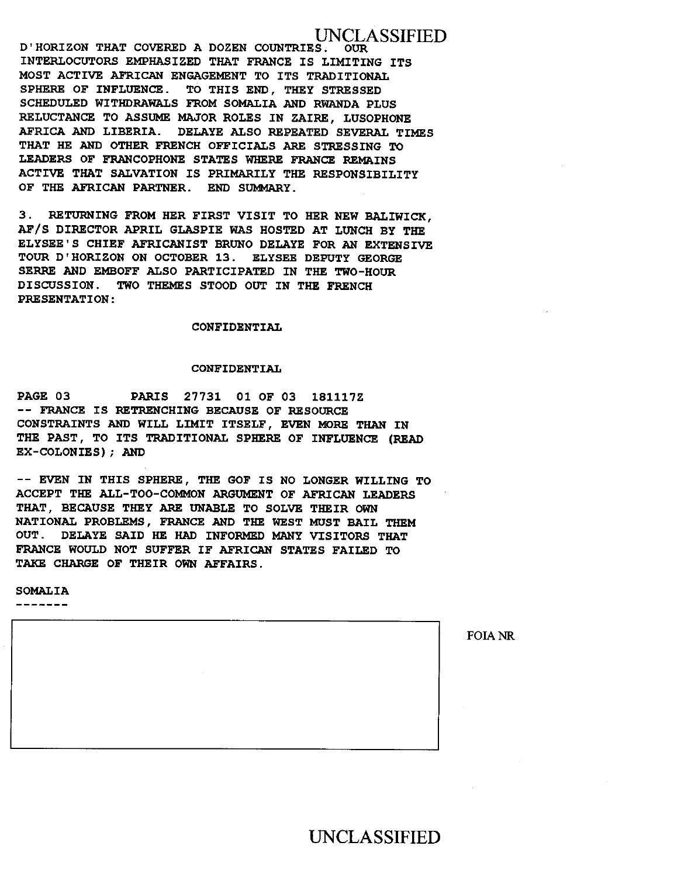UNCLASSIFIED **D'HORIZON THAT COVERED A DOZEN COUNTRIES. INTERLOCUTORS EMPHASIZED THAT FRANCE IS LIMITING ITS MOST ACTIVE AFRICAN ENGAGEMENT TO ITS TRADITIONAL SPHERE OF INFLUENCE. TO THIS END, THEY STRESSED SCHEDULED WITHDRAWALS FROM SOMALIA AND RWANDA PLUS RELUCTANCE TO ASSUME MAJOR ROLES IN ZAIRE, LUSOPHONE AFRICA AND LIBERIA. DELAYE ALSO REPEATED SEVERAL TIMES THAT HE AND OTHER FRENCH OFFICIALS ARE STRESSING TO LEADERS OF FRANCOPHONE STATES WHERE FRANCE REMAINS ACTIVE THAT SALVATION IS PRIMARILY THE RESPONSIBILITY OF THE AFRICAN PARTNER. END SUMMARY.** 

**3. RETURNING FROM HER FIRST VISIT TO HER NEW BALIWICK, AF/S DIRECTOR APRIL GLASPIE WAS HOSTED AT LUNCH BY THE ELYSEE'S CHIEF AFRICANIST BRUNO DELAYE FOR AN EXTENSIVE TOUR D'HORIZON ON OCTOBER 13. ELYSEE DEPUTY GEORGE SERRE AND EMBOFF ALSO PARTICIPATED IN THE TWO-HOUR DISCUSSION. TWO THEMES STOOD OUT IN THE FRENCH PRESENTATION:** 

#### **CONFIDENTIAL**

#### **CONFIDENTIAL**

**PAGE 03 PARIS 27731 01 OF 03 181117Z -- FRANCE IS RETRENCHING BECAUSE OF RESOURCE CONSTRAINTS AND WILL LIMIT ITSELF, EVEN MORE THAN IN THE PAST, TO ITS TRADITIONAL SPHERE OF INFLUENCE (READ EX-COLONIES); AND** 

**-- EVEN IN THIS SPHERE, THE GOF IS NO LONGER WILLING TO ACCEPT THE ALL-TOO-COMMON ARGUMENT OF AFRICAN LEADERS THAT, BECAUSE THEY ARE UNABLE TO SOLVE THEIR OWN NATIONAL PROBLEMS, FRANCE AND THE WEST MUST BAIL THEM OUT. DELAYE SAID HE HAD INFORMED MANY VISITORS THAT FRANCE WOULD NOT SUFFER IF AFRICAN STATES FAILED TO TAKE CHARGE OF THEIR OWN AFFAIRS.** 

**SOMALIA** 

- - - - - - -

UNCLASSIFIED

FOIA NR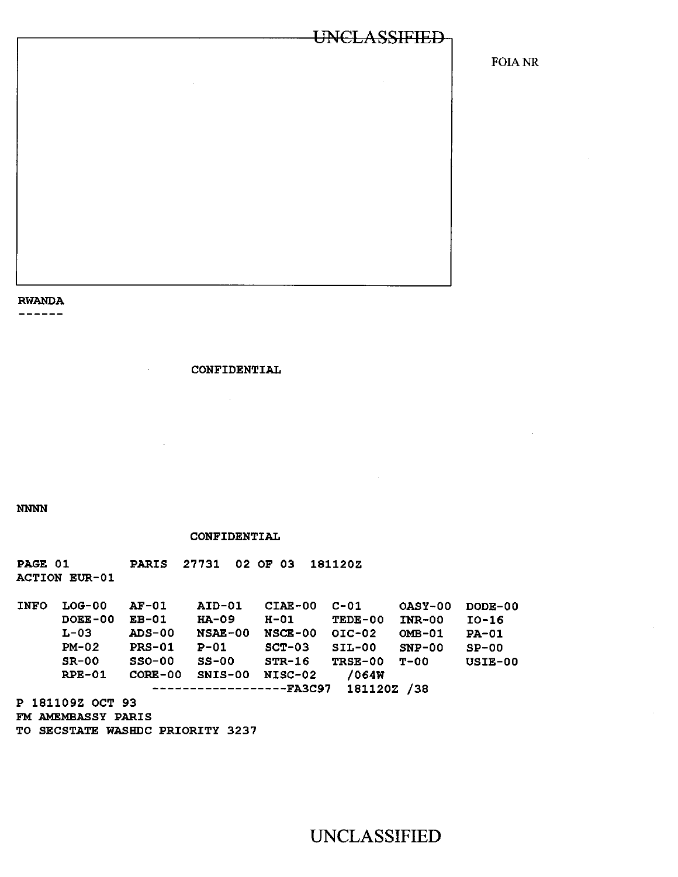FOIANR

# **RWANDA**

**CONFIDENTIAL** 

**NNNN** 

#### **CONFIDENTIAL**

**PAGE 01 PARIS 27731 02 OF 03 181120Z ACTION EUR -01** 

**INFO LOG-00 DOEE-00 L-03 PM-02 SR-00 RPE-01 AF-01 AID-01 CIAE-00 C-01 OASY-00 DODE-00 EB-01 HA-09 H-01 TEDE-00 INR-00 10-16 ADDE-00 NSCE-00 OIC-02 OMB-01 PA-01**<br>P-01 SCT-03 SIL-00 SNP-00 SP-00 **PRS-01 P-01 SCT-03 SIL-00 SNP-00 SP-00 SSO-00 SS-00 STR-16 TRSE-00 T-00 USIE-00 CORE-00 SNIS-00 NISC-02 /064W FA3C97 181120Z /38 P 181109Z OCT 93 FM AMEMBASSY PARIS** 

**TO SECSTATE WASHDC PRIORITY 3237**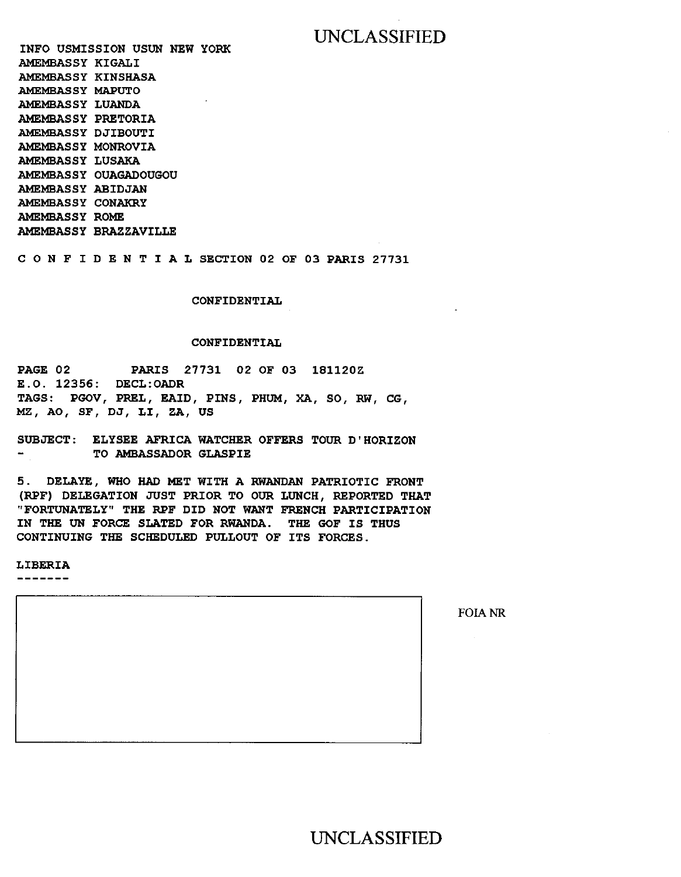**INFO USMISSION USUN NEW YORK AMEMBASSY KIGALI AMEMBASSY KINSHASA AMEMBASSY MAPUTO AMEMBASSY LUANDA AMEMBASSY PRETORIA AMEMBASSY DJIBOUTI AMEMBASSY MONROVIA AMEMBASSY LUSAKA AMEMBASSY OUAGADOUGOU AMEMBASSY ABIDJAN AMEMBASSY CONAKRY AMEMBASSY ROME AMEMBASSY BRAZZAVILLE** 

**CONFIDENTIALSECTION 02 OF 03 PARIS 27731** 

**CONFIDENTIAL** 

#### **CONFIDENTIAL**

**PAGE 02 PARIS 27731 02 OF 03 181120Z E.O. 12356: DECL:OADR TAGS: PGOV, PREL, RAID, PINS, PHUM, XA, SO, RW, CG, MZ, AO, SF, DJ, LI, ZA, US** 

**SUBJECT: ELYSEE AFRICA WATCHER OFFERS TOUR D'HORIZON TO AMBASSADOR GLASPIE Contract Contract Contract** 

**5. DELAYE, WHO HAD MET WITH A RWANDAN PATRIOTIC FRONT (RPF) DELEGATION JUST PRIOR TO OUR LUNCH, REPORTED THAT "FORTUNATELY" THE RPF DID NOT WANT FRENCH PARTICIPATION IN THE UN FORCE SLATED FOR RWANDA. THE GOF IS THUS CONTINUING THE SCHEDULED PULLOUT OF ITS FORCES.** 

#### **LIBERIA**

--------

FOIANR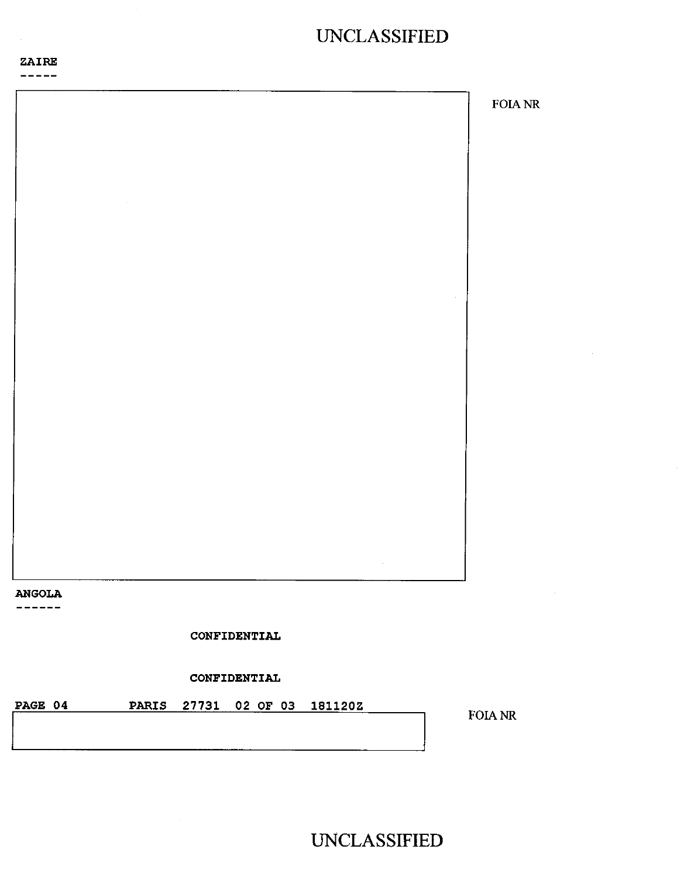

 $- - - - - -$ 

FOIA NR **ANGOLA**  ------**CONFIDENTIAL CONFIDENTIAL PAGE 04 PARIS 27731 02 OF 03 181120Z**  FOIA NR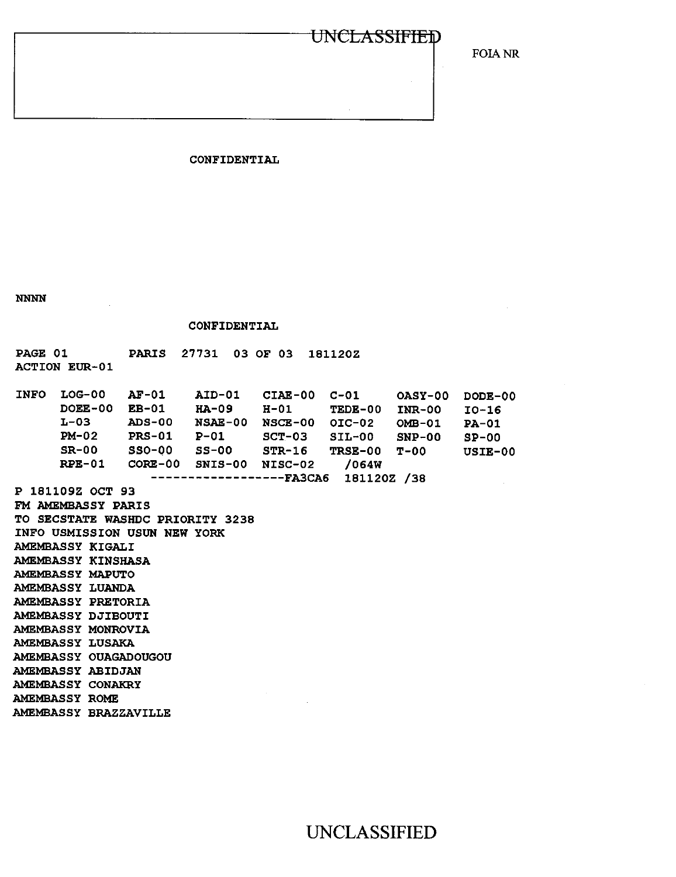FOIA NR

#### **CONFIDENTIAL**

**NNNN** 

**CONFIDENTIAL** 

**PAGE 01 PARIS 27731 03 OF 03 181120Z** 

**ACTION EUR -01** 

| <b>INFO</b>                   | $LOG-00$         | $AF-01$       | <b>AID-01</b> | CIAE-00   | $C-01$   | OASY-00  | DODE-00 |
|-------------------------------|------------------|---------------|---------------|-----------|----------|----------|---------|
|                               | DOEE-00          | $EB-01$       | $HA-09$       | $H-01$    | TEDE-00  | $INR-00$ | $IO-16$ |
|                               | $L-03$           | <b>ADS-00</b> | NSAE-00       | $NGCE-00$ | $OIC-02$ | $OMB-01$ | $PA-01$ |
|                               | $PM-02$          | <b>PRS-01</b> | $P-01$        | $SCT-03$  | $STL-00$ | $SNP-00$ | $SP-00$ |
|                               | $SR-00$          | $SSO-00$      | $SS-00$       | $STR-16$  | TRSE-00  | $T - 00$ | USIE-00 |
|                               | $RPE-01$         | $CORE-00$     | $SNIS-00$     | NISC-02   | /064W    |          |         |
| 1811202 /38<br><b>-FA3CA6</b> |                  |               |               |           |          |          |         |
|                               | P 181109Z OCT 93 |               |               |           |          |          |         |

**FM AMEMBASSY PARIS TO SECSTATE WASHDC PRIORITY 3238 INFO USMISSION USUN NEW YORK AMEMBASSY KIGALI AMEMBASSY KINSHASA AMEMBASSY MAPUTO AMEMBASSY LUANDA AMEMBASSY PRETORIA AMEMBASSY DJIBOUTI AMEMBASSY MONROVIA AMEMBASSY LUSAKA AMEMBASSY OUAGADOUGOU AMEMBASSY ABIDJAN AMEMBASSY CONAKRY AMEMBASSY ROME AMEMBASSY BRAZZAVILLE**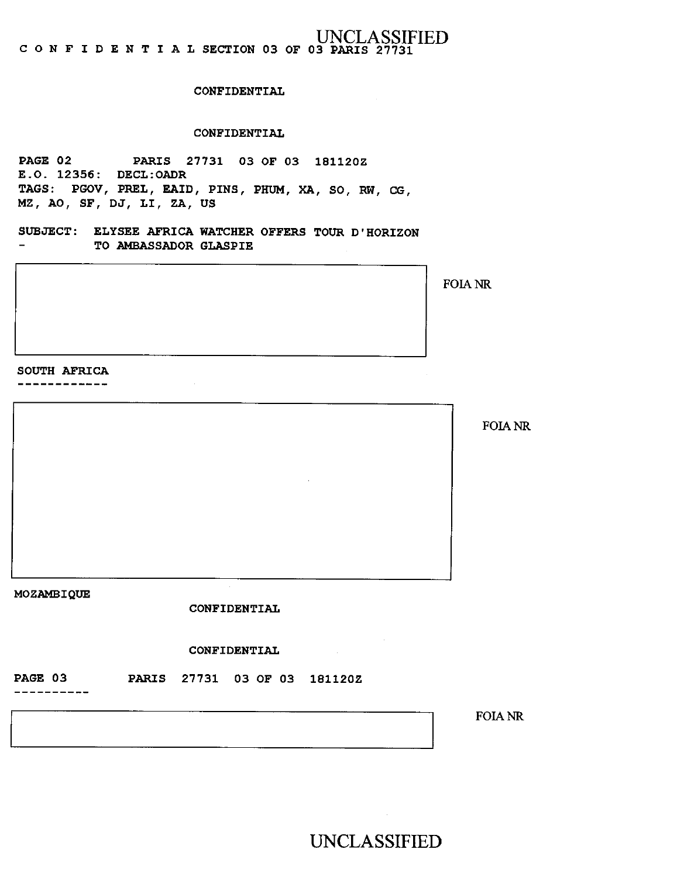#### UNCLASSIFIED C O N F I D E N T I A L SECTION 03 OF 03 PARIS 27731

#### CONFIDENTIAL

#### CONFIDENTIAL

PAGE 02 PARIS 27731 03 OF 03 181120Z E.O. 12356: DECL:OADR TAGS: PGOV, PREL, RAID, PINS, PHUM, XA, SO, RW, CG, MZ, AO, SF, DJ, LI, ZA, US

SUBJECT: ELYSEE AFRICA WATCHER OFFERS TOUR D'HORIZON TO AMBASSADOR GLASPIE  $\overline{\phantom{0}}$ 

SOUTH AFRICA

------------

FOIA NR

MOZAMBIQUE

CONFIDENTIAL

CONFIDENTIAL

PAGE 03 PARIS 27731 03 OF 03 181120Z

FOIA NR

UNCLASSIFIED

 $\sim 10^{11}$